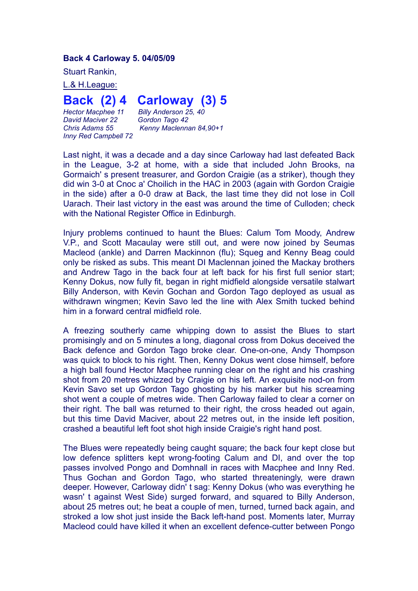## **Back 4 Carloway 5. 04/05/09**

Stuart Rankin,

L.& H.League:

## **Back (2) 4 Carloway (3) 5**

*Hector Macphee 11 Billy Anderson 25, 40 <i>David Maciver* 22 *Inny Red Campbell 72*

*Chris Adams 55 Kenny Maclennan 84,90+1*

Last night, it was a decade and a day since Carloway had last defeated Back in the League, 3-2 at home, with a side that included John Brooks, na Gormaich' s present treasurer, and Gordon Craigie (as a striker), though they did win 3-0 at Cnoc a' Choilich in the HAC in 2003 (again with Gordon Craigie in the side) after a 0-0 draw at Back, the last time they did not lose in Coll Uarach. Their last victory in the east was around the time of Culloden; check with the National Register Office in Edinburgh.

Injury problems continued to haunt the Blues: Calum Tom Moody, Andrew V.P., and Scott Macaulay were still out, and were now joined by Seumas Macleod (ankle) and Darren Mackinnon (flu); Squeg and Kenny Beag could only be risked as subs. This meant DI Maclennan joined the Mackay brothers and Andrew Tago in the back four at left back for his first full senior start; Kenny Dokus, now fully fit, began in right midfield alongside versatile stalwart Billy Anderson, with Kevin Gochan and Gordon Tago deployed as usual as withdrawn wingmen; Kevin Savo led the line with Alex Smith tucked behind him in a forward central midfield role.

A freezing southerly came whipping down to assist the Blues to start promisingly and on 5 minutes a long, diagonal cross from Dokus deceived the Back defence and Gordon Tago broke clear. One-on-one, Andy Thompson was quick to block to his right. Then, Kenny Dokus went close himself, before a high ball found Hector Macphee running clear on the right and his crashing shot from 20 metres whizzed by Craigie on his left. An exquisite nod-on from Kevin Savo set up Gordon Tago ghosting by his marker but his screaming shot went a couple of metres wide. Then Carloway failed to clear a corner on their right. The ball was returned to their right, the cross headed out again, but this time David Maciver, about 22 metres out, in the inside left position, crashed a beautiful left foot shot high inside Craigie's right hand post.

The Blues were repeatedly being caught square; the back four kept close but low defence splitters kept wrong-footing Calum and DI, and over the top passes involved Pongo and Domhnall in races with Macphee and Inny Red. Thus Gochan and Gordon Tago, who started threateningly, were drawn deeper. However, Carloway didn' t sag: Kenny Dokus (who was everything he wasn' t against West Side) surged forward, and squared to Billy Anderson, about 25 metres out; he beat a couple of men, turned, turned back again, and stroked a low shot just inside the Back left-hand post. Moments later, Murray Macleod could have killed it when an excellent defence-cutter between Pongo